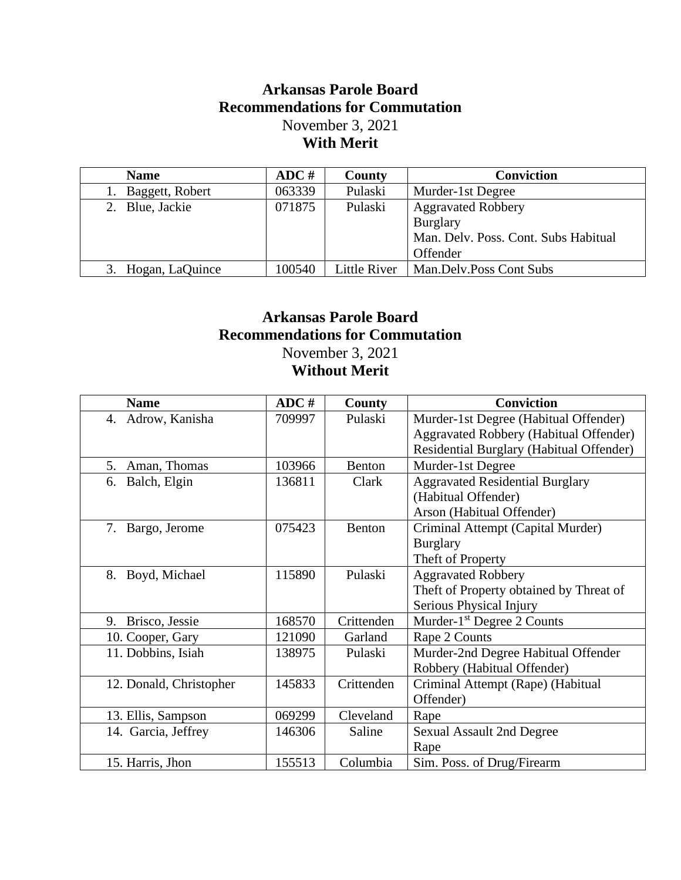## **Arkansas Parole Board Recommendations for Commutation**  November 3, 2021 **With Merit**

| <b>Name</b>     | ADC #  | County       | <b>Conviction</b>                    |
|-----------------|--------|--------------|--------------------------------------|
| Baggett, Robert | 063339 | Pulaski      | Murder-1st Degree                    |
| Blue, Jackie    | 071875 | Pulaski      | <b>Aggravated Robbery</b>            |
|                 |        |              | <b>Burglary</b>                      |
|                 |        |              | Man. Delv. Poss. Cont. Subs Habitual |
|                 |        |              | Offender                             |
| Hogan, LaQuince | 100540 | Little River | Man.Delv.Poss Cont Subs              |

## **Arkansas Parole Board Recommendations for Commutation** November 3, 2021

**Without Merit**

| <b>Name</b>             | ADC #  | County     | <b>Conviction</b>                             |
|-------------------------|--------|------------|-----------------------------------------------|
| 4. Adrow, Kanisha       | 709997 | Pulaski    | Murder-1st Degree (Habitual Offender)         |
|                         |        |            | <b>Aggravated Robbery (Habitual Offender)</b> |
|                         |        |            | Residential Burglary (Habitual Offender)      |
| Aman, Thomas<br>5.      | 103966 | Benton     | Murder-1st Degree                             |
| 6. Balch, Elgin         | 136811 | Clark      | <b>Aggravated Residential Burglary</b>        |
|                         |        |            | (Habitual Offender)                           |
|                         |        |            | Arson (Habitual Offender)                     |
| 7. Bargo, Jerome        | 075423 | Benton     | Criminal Attempt (Capital Murder)             |
|                         |        |            | <b>Burglary</b>                               |
|                         |        |            | Theft of Property                             |
| 8. Boyd, Michael        | 115890 | Pulaski    | <b>Aggravated Robbery</b>                     |
|                         |        |            | Theft of Property obtained by Threat of       |
|                         |        |            | Serious Physical Injury                       |
| 9. Brisco, Jessie       | 168570 | Crittenden | Murder- $1st$ Degree 2 Counts                 |
| 10. Cooper, Gary        | 121090 | Garland    | Rape 2 Counts                                 |
| 11. Dobbins, Isiah      | 138975 | Pulaski    | Murder-2nd Degree Habitual Offender           |
|                         |        |            | Robbery (Habitual Offender)                   |
| 12. Donald, Christopher | 145833 | Crittenden | Criminal Attempt (Rape) (Habitual             |
|                         |        |            | Offender)                                     |
| 13. Ellis, Sampson      | 069299 | Cleveland  | Rape                                          |
| 14. Garcia, Jeffrey     | 146306 | Saline     | <b>Sexual Assault 2nd Degree</b>              |
|                         |        |            | Rape                                          |
| 15. Harris, Jhon        | 155513 | Columbia   | Sim. Poss. of Drug/Firearm                    |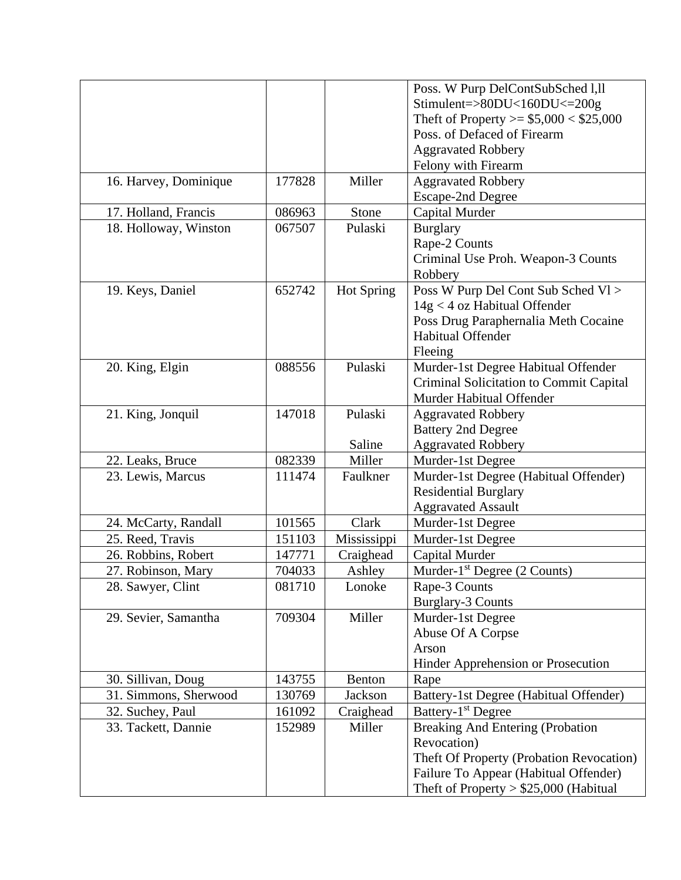|                       |        |                   | Poss. W Purp DelContSubSched l,ll        |
|-----------------------|--------|-------------------|------------------------------------------|
|                       |        |                   | Stimulent=> $80DU < 160DU < 200g$        |
|                       |        |                   | Theft of Property >= $$5,000 < $25,000$  |
|                       |        |                   | Poss. of Defaced of Firearm              |
|                       |        |                   | <b>Aggravated Robbery</b>                |
|                       |        |                   | Felony with Firearm                      |
| 16. Harvey, Dominique | 177828 | Miller            | <b>Aggravated Robbery</b>                |
|                       |        |                   | <b>Escape-2nd Degree</b>                 |
| 17. Holland, Francis  | 086963 | Stone             | Capital Murder                           |
| 18. Holloway, Winston | 067507 | Pulaski           | <b>Burglary</b>                          |
|                       |        |                   | Rape-2 Counts                            |
|                       |        |                   | Criminal Use Proh. Weapon-3 Counts       |
|                       |        |                   | Robbery                                  |
| 19. Keys, Daniel      | 652742 | <b>Hot Spring</b> | Poss W Purp Del Cont Sub Sched Vl >      |
|                       |        |                   | 14g < 4 oz Habitual Offender             |
|                       |        |                   | Poss Drug Paraphernalia Meth Cocaine     |
|                       |        |                   | Habitual Offender                        |
|                       |        |                   | Fleeing                                  |
| 20. King, Elgin       | 088556 | Pulaski           | Murder-1st Degree Habitual Offender      |
|                       |        |                   | Criminal Solicitation to Commit Capital  |
|                       |        |                   | Murder Habitual Offender                 |
| 21. King, Jonquil     | 147018 | Pulaski           | <b>Aggravated Robbery</b>                |
|                       |        |                   | <b>Battery 2nd Degree</b>                |
|                       |        | Saline            | <b>Aggravated Robbery</b>                |
| 22. Leaks, Bruce      | 082339 | Miller            | Murder-1st Degree                        |
| 23. Lewis, Marcus     | 111474 | Faulkner          | Murder-1st Degree (Habitual Offender)    |
|                       |        |                   | <b>Residential Burglary</b>              |
|                       |        |                   | <b>Aggravated Assault</b>                |
| 24. McCarty, Randall  | 101565 | Clark             | Murder-1st Degree                        |
| 25. Reed, Travis      | 151103 | Mississippi       | Murder-1st Degree                        |
| 26. Robbins, Robert   | 147771 | Craighead         | Capital Murder                           |
| 27. Robinson, Mary    | 704033 | Ashley            | Murder- $1st$ Degree (2 Counts)          |
| 28. Sawyer, Clint     | 081710 | Lonoke            | Rape-3 Counts                            |
|                       |        |                   | <b>Burglary-3 Counts</b>                 |
| 29. Sevier, Samantha  | 709304 | Miller            | Murder-1st Degree                        |
|                       |        |                   | Abuse Of A Corpse                        |
|                       |        |                   | Arson                                    |
|                       |        |                   | Hinder Apprehension or Prosecution       |
| 30. Sillivan, Doug    | 143755 | Benton            | Rape                                     |
| 31. Simmons, Sherwood | 130769 | Jackson           | Battery-1st Degree (Habitual Offender)   |
| 32. Suchey, Paul      | 161092 | Craighead         | Battery-1 <sup>st</sup> Degree           |
| 33. Tackett, Dannie   | 152989 | Miller            | <b>Breaking And Entering (Probation</b>  |
|                       |        |                   | Revocation)                              |
|                       |        |                   | Theft Of Property (Probation Revocation) |
|                       |        |                   | Failure To Appear (Habitual Offender)    |
|                       |        |                   | Theft of Property $> $25,000$ (Habitual  |
|                       |        |                   |                                          |